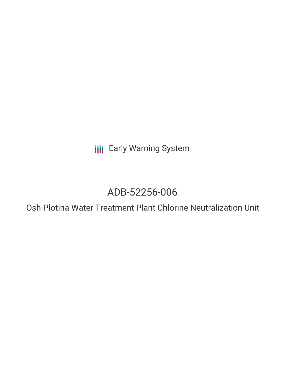**III** Early Warning System

# ADB-52256-006

Osh-Plotina Water Treatment Plant Chlorine Neutralization Unit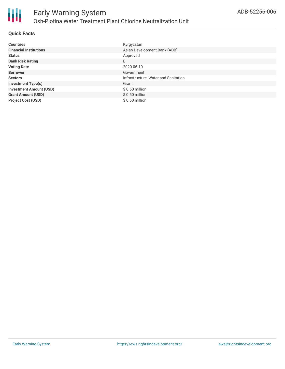

# **Quick Facts**

| <b>Countries</b>               | Kyrgyzstan                           |
|--------------------------------|--------------------------------------|
| <b>Financial Institutions</b>  | Asian Development Bank (ADB)         |
| <b>Status</b>                  | Approved                             |
| <b>Bank Risk Rating</b>        | B                                    |
| <b>Voting Date</b>             | 2020-06-10                           |
| <b>Borrower</b>                | Government                           |
| <b>Sectors</b>                 | Infrastructure, Water and Sanitation |
| <b>Investment Type(s)</b>      | Grant                                |
| <b>Investment Amount (USD)</b> | $$0.50$ million                      |
| <b>Grant Amount (USD)</b>      | $$0.50$ million                      |
| <b>Project Cost (USD)</b>      | $$0.50$ million                      |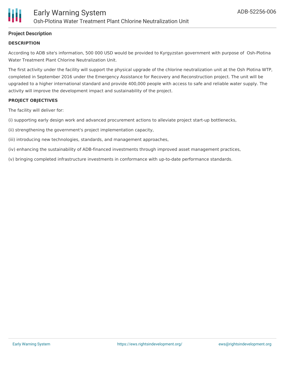# **Project Description**

#### **DESCRIPTION**

According to ADB site's information, 500 000 USD would be provided to Kyrgyzstan government with purpose of Osh-Plotina Water Treatment Plant Chlorine Neutralization Unit.

The first activity under the facility will support the physical upgrade of the chlorine neutralization unit at the Osh Plotina WTP, completed in September 2016 under the Emergency Assistance for Recovery and Reconstruction project. The unit will be upgraded to a higher international standard and provide 400,000 people with access to safe and reliable water supply. The activity will improve the development impact and sustainability of the project.

#### **PROJECT OBJECTIVES**

The facility will deliver for:

(i) supporting early design work and advanced procurement actions to alleviate project start-up bottlenecks,

(ii) strengthening the government's project implementation capacity,

(iii) introducing new technologies, standards, and management approaches,

(iv) enhancing the sustainability of ADB-financed investments through improved asset management practices,

(v) bringing completed infrastructure investments in conformance with up-to-date performance standards.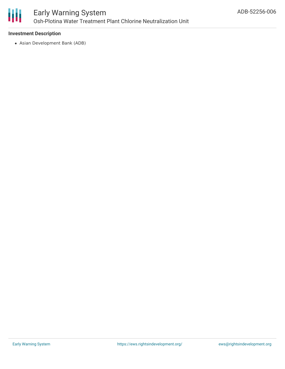

### **Investment Description**

Asian Development Bank (ADB)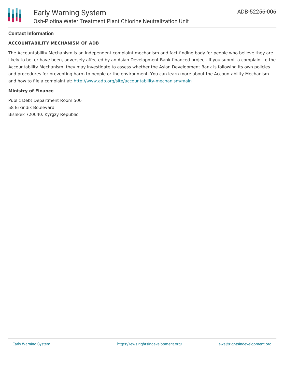#### **Contact Information**

#### **ACCOUNTABILITY MECHANISM OF ADB**

The Accountability Mechanism is an independent complaint mechanism and fact-finding body for people who believe they are likely to be, or have been, adversely affected by an Asian Development Bank-financed project. If you submit a complaint to the Accountability Mechanism, they may investigate to assess whether the Asian Development Bank is following its own policies and procedures for preventing harm to people or the environment. You can learn more about the Accountability Mechanism and how to file a complaint at: <http://www.adb.org/site/accountability-mechanism/main>

#### **Ministry of Finance**

Public Debt Department Room 500 58 Erkindik Boulevard Bishkek 720040, Kyrgzy Republic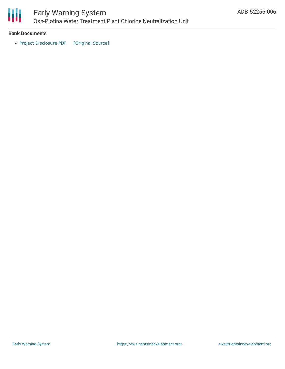

# Early Warning System Osh-Plotina Water Treatment Plant Chlorine Neutralization Unit

#### **Bank Documents**

• Project [Disclosure](https://ewsdata.rightsindevelopment.org/files/documents/06/ADB-52256-006.pdf) PDF [\[Original](https://www.adb.org/printpdf/projects/52256-006/main) Source]